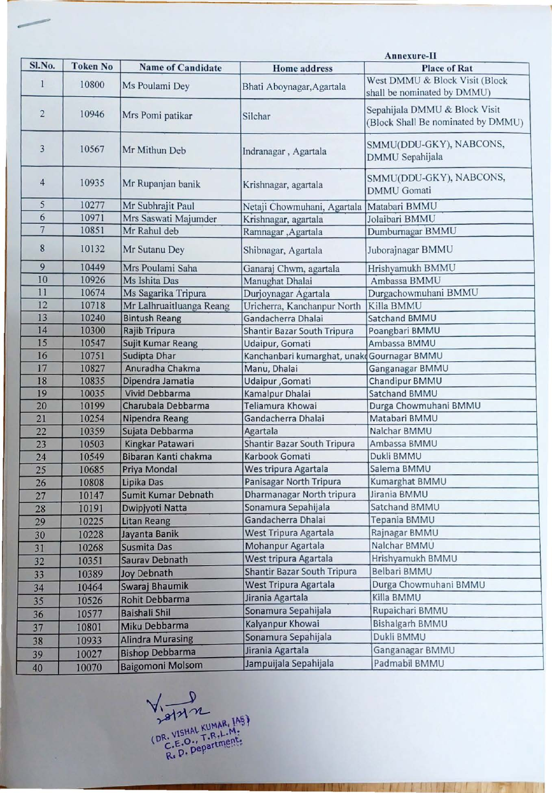| <b>Name of Candidate</b><br><b>Home address</b><br><b>Place of Rat</b><br>West DMMU & Block Visit (Block<br>1<br>10800<br>Ms Poulami Dey<br>Bhati Aboynagar, Agartala<br>shall be nominated by DMMU)<br>Sepahijala DMMU & Block Visit<br>$\overline{\mathbf{c}}$<br>10946<br>Mrs Pomi patikar<br>Silchar<br>SMMU(DDU-GKY), NABCONS,<br>3<br>10567<br>Mr Mithun Deb<br>Indranagar, Agartala<br>DMMU Sepahijala<br>SMMU(DDU-GKY), NABCONS,<br>$\overline{4}$<br>10935<br>Mr Rupanjan banik<br>Krishnagar, agartala<br><b>DMMU</b> Gomati<br>5<br>10277<br>Mr Subhrajit Paul<br>Matabari BMMU<br>Netaji Chowmuhani, Agartala<br>6<br>10971<br>Mrs Saswati Majumder<br>Krishnagar, agartala<br>Jolaibari BMMU<br>$\overline{7}$<br>10851<br>Mr Rahul deb<br>Dumburnagar BMMU<br>Ramnagar, Agartala<br>8<br>10132<br>Mr Sutanu Dey<br>Shibnagar, Agartala<br>Juborajnagar BMMU<br>9<br>10449<br>Mrs Poulami Saha<br>Hrishyamukh BMMU<br>Ganaraj Chwm, agartala<br>10<br>10926<br>Ms Ishita Das<br>Ambassa BMMU<br>Manughat Dhalai<br>11<br>10674<br>Ms Sagarika Tripura<br>Durjoynagar Agartala<br>Durgachowmuhani BMMU<br>12<br>10718<br>Mr Lalhruaitluanga Reang<br>Killa BMMU<br>Uricherra, Kanchanpur North<br>13<br>10240<br><b>Bintush Reang</b><br>Gandacherra Dhalai<br><b>Satchand BMMU</b><br>14<br>10300<br>Rajib Tripura<br>Shantir Bazar South Tripura<br>Poangbari BMMU<br>15<br>Ambassa BMMU<br>10547<br>Sujit Kumar Reang<br>Udaipur, Gomati<br>16<br>10751<br>Sudipta Dhar<br>Kanchanbari kumarghat, unak Gournagar BMMU<br>17<br>10827<br>Anuradha Chakma<br>Manu, Dhalai<br>Ganganagar BMMU<br>18<br>10835<br>Chandipur BMMU<br>Dipendra Jamatia<br>Udaipur, Gomati<br>19<br>10035<br><b>Vivid Debbarma</b><br>Kamalpur Dhalai<br>Satchand BMMU<br>Teliamura Khowai<br>Durga Chowmuhani BMMU<br>20<br>10199<br>Charubala Debbarma<br>21<br>10254<br>Nipendra Reang<br>Gandacherra Dhalai<br>Matabari BMMU<br>22<br>10359<br>Sujata Debbarma<br>Agartala<br>Nalchar BMMU<br>23<br>Kingkar Patawari<br>Shantir Bazar South Tripura<br>10503<br>Ambassa BMMU<br>Bibaran Kanti chakma<br>Karbook Gomati<br>Dukli BMMU<br>24<br>10549<br>Wes tripura Agartala<br>Salema BMMU<br>25<br>10685<br>Priya Mondal<br>Panisagar North Tripura<br>Lipika Das<br>Kumarghat BMMU<br>26<br>10808<br>Dharmanagar North tripura<br>Jirania BMMU<br>Sumit Kumar Debnath<br>27<br>10147<br>Sonamura Sepahijala<br>Satchand BMMU<br>28<br>10191<br>Dwipjyoti Natta<br>Gandacherra Dhalai<br>Tepania BMMU<br>29<br>10225<br><b>Litan Reang</b><br>West Tripura Agartala<br>Rajnagar BMMU<br>30<br>Jayanta Banik<br>10228<br>Mohanpur Agartala<br>Nalchar BMMU<br>Susmita Das<br>10268<br>31<br>West tripura Agartala<br>Hrishyamukh BMMU<br>Saurav Debnath<br>32<br>10351<br><b>Shantir Bazar South Tripura</b><br>Belbari BMMU<br><b>Joy Debnath</b><br>33<br>10389<br>West Tripura Agartala<br>Durga Chowmuhani BMMU<br>Swaraj Bhaumik<br>10464<br>34<br>Jirania Agartala<br>Killa BMMU<br>Rohit Debbarma<br>10526<br>35<br>Sonamura Sepahijala<br>Rupaichari BMMU<br><b>Baishali Shil</b><br>10577<br>36<br>Kalyanpur Khowai<br>Bishalgarh BMMU<br>Miku Debbarma<br>10801<br>37<br>Sonamura Sepahijala<br>Dukli BMMU<br><b>Alindra Murasing</b><br>10933<br>38<br>Jirania Agartala<br>Ganganagar BMMU<br><b>Bishop Debbarma</b><br>10027<br>39 |        |                 | Annexure-II             |                       |                                    |  |  |
|-------------------------------------------------------------------------------------------------------------------------------------------------------------------------------------------------------------------------------------------------------------------------------------------------------------------------------------------------------------------------------------------------------------------------------------------------------------------------------------------------------------------------------------------------------------------------------------------------------------------------------------------------------------------------------------------------------------------------------------------------------------------------------------------------------------------------------------------------------------------------------------------------------------------------------------------------------------------------------------------------------------------------------------------------------------------------------------------------------------------------------------------------------------------------------------------------------------------------------------------------------------------------------------------------------------------------------------------------------------------------------------------------------------------------------------------------------------------------------------------------------------------------------------------------------------------------------------------------------------------------------------------------------------------------------------------------------------------------------------------------------------------------------------------------------------------------------------------------------------------------------------------------------------------------------------------------------------------------------------------------------------------------------------------------------------------------------------------------------------------------------------------------------------------------------------------------------------------------------------------------------------------------------------------------------------------------------------------------------------------------------------------------------------------------------------------------------------------------------------------------------------------------------------------------------------------------------------------------------------------------------------------------------------------------------------------------------------------------------------------------------------------------------------------------------------------------------------------------------------------------------------------------------------------------------------------------------------------------------------------------------------------------------------------------------------------------------------------------------------------------------------------------------------------------------------------------------------------------------------------------------------------------------------------------------------------------------------------|--------|-----------------|-------------------------|-----------------------|------------------------------------|--|--|
|                                                                                                                                                                                                                                                                                                                                                                                                                                                                                                                                                                                                                                                                                                                                                                                                                                                                                                                                                                                                                                                                                                                                                                                                                                                                                                                                                                                                                                                                                                                                                                                                                                                                                                                                                                                                                                                                                                                                                                                                                                                                                                                                                                                                                                                                                                                                                                                                                                                                                                                                                                                                                                                                                                                                                                                                                                                                                                                                                                                                                                                                                                                                                                                                                                                                                                                                           | Sl.No. | <b>Token No</b> |                         |                       |                                    |  |  |
|                                                                                                                                                                                                                                                                                                                                                                                                                                                                                                                                                                                                                                                                                                                                                                                                                                                                                                                                                                                                                                                                                                                                                                                                                                                                                                                                                                                                                                                                                                                                                                                                                                                                                                                                                                                                                                                                                                                                                                                                                                                                                                                                                                                                                                                                                                                                                                                                                                                                                                                                                                                                                                                                                                                                                                                                                                                                                                                                                                                                                                                                                                                                                                                                                                                                                                                                           |        |                 |                         |                       |                                    |  |  |
|                                                                                                                                                                                                                                                                                                                                                                                                                                                                                                                                                                                                                                                                                                                                                                                                                                                                                                                                                                                                                                                                                                                                                                                                                                                                                                                                                                                                                                                                                                                                                                                                                                                                                                                                                                                                                                                                                                                                                                                                                                                                                                                                                                                                                                                                                                                                                                                                                                                                                                                                                                                                                                                                                                                                                                                                                                                                                                                                                                                                                                                                                                                                                                                                                                                                                                                                           |        |                 |                         |                       | (Block Shall Be nominated by DMMU) |  |  |
|                                                                                                                                                                                                                                                                                                                                                                                                                                                                                                                                                                                                                                                                                                                                                                                                                                                                                                                                                                                                                                                                                                                                                                                                                                                                                                                                                                                                                                                                                                                                                                                                                                                                                                                                                                                                                                                                                                                                                                                                                                                                                                                                                                                                                                                                                                                                                                                                                                                                                                                                                                                                                                                                                                                                                                                                                                                                                                                                                                                                                                                                                                                                                                                                                                                                                                                                           |        |                 |                         |                       |                                    |  |  |
|                                                                                                                                                                                                                                                                                                                                                                                                                                                                                                                                                                                                                                                                                                                                                                                                                                                                                                                                                                                                                                                                                                                                                                                                                                                                                                                                                                                                                                                                                                                                                                                                                                                                                                                                                                                                                                                                                                                                                                                                                                                                                                                                                                                                                                                                                                                                                                                                                                                                                                                                                                                                                                                                                                                                                                                                                                                                                                                                                                                                                                                                                                                                                                                                                                                                                                                                           |        |                 |                         |                       |                                    |  |  |
|                                                                                                                                                                                                                                                                                                                                                                                                                                                                                                                                                                                                                                                                                                                                                                                                                                                                                                                                                                                                                                                                                                                                                                                                                                                                                                                                                                                                                                                                                                                                                                                                                                                                                                                                                                                                                                                                                                                                                                                                                                                                                                                                                                                                                                                                                                                                                                                                                                                                                                                                                                                                                                                                                                                                                                                                                                                                                                                                                                                                                                                                                                                                                                                                                                                                                                                                           |        |                 |                         |                       |                                    |  |  |
|                                                                                                                                                                                                                                                                                                                                                                                                                                                                                                                                                                                                                                                                                                                                                                                                                                                                                                                                                                                                                                                                                                                                                                                                                                                                                                                                                                                                                                                                                                                                                                                                                                                                                                                                                                                                                                                                                                                                                                                                                                                                                                                                                                                                                                                                                                                                                                                                                                                                                                                                                                                                                                                                                                                                                                                                                                                                                                                                                                                                                                                                                                                                                                                                                                                                                                                                           |        |                 |                         |                       |                                    |  |  |
|                                                                                                                                                                                                                                                                                                                                                                                                                                                                                                                                                                                                                                                                                                                                                                                                                                                                                                                                                                                                                                                                                                                                                                                                                                                                                                                                                                                                                                                                                                                                                                                                                                                                                                                                                                                                                                                                                                                                                                                                                                                                                                                                                                                                                                                                                                                                                                                                                                                                                                                                                                                                                                                                                                                                                                                                                                                                                                                                                                                                                                                                                                                                                                                                                                                                                                                                           |        |                 |                         |                       |                                    |  |  |
|                                                                                                                                                                                                                                                                                                                                                                                                                                                                                                                                                                                                                                                                                                                                                                                                                                                                                                                                                                                                                                                                                                                                                                                                                                                                                                                                                                                                                                                                                                                                                                                                                                                                                                                                                                                                                                                                                                                                                                                                                                                                                                                                                                                                                                                                                                                                                                                                                                                                                                                                                                                                                                                                                                                                                                                                                                                                                                                                                                                                                                                                                                                                                                                                                                                                                                                                           |        |                 |                         |                       |                                    |  |  |
|                                                                                                                                                                                                                                                                                                                                                                                                                                                                                                                                                                                                                                                                                                                                                                                                                                                                                                                                                                                                                                                                                                                                                                                                                                                                                                                                                                                                                                                                                                                                                                                                                                                                                                                                                                                                                                                                                                                                                                                                                                                                                                                                                                                                                                                                                                                                                                                                                                                                                                                                                                                                                                                                                                                                                                                                                                                                                                                                                                                                                                                                                                                                                                                                                                                                                                                                           |        |                 |                         |                       |                                    |  |  |
|                                                                                                                                                                                                                                                                                                                                                                                                                                                                                                                                                                                                                                                                                                                                                                                                                                                                                                                                                                                                                                                                                                                                                                                                                                                                                                                                                                                                                                                                                                                                                                                                                                                                                                                                                                                                                                                                                                                                                                                                                                                                                                                                                                                                                                                                                                                                                                                                                                                                                                                                                                                                                                                                                                                                                                                                                                                                                                                                                                                                                                                                                                                                                                                                                                                                                                                                           |        |                 |                         |                       |                                    |  |  |
|                                                                                                                                                                                                                                                                                                                                                                                                                                                                                                                                                                                                                                                                                                                                                                                                                                                                                                                                                                                                                                                                                                                                                                                                                                                                                                                                                                                                                                                                                                                                                                                                                                                                                                                                                                                                                                                                                                                                                                                                                                                                                                                                                                                                                                                                                                                                                                                                                                                                                                                                                                                                                                                                                                                                                                                                                                                                                                                                                                                                                                                                                                                                                                                                                                                                                                                                           |        |                 |                         |                       |                                    |  |  |
|                                                                                                                                                                                                                                                                                                                                                                                                                                                                                                                                                                                                                                                                                                                                                                                                                                                                                                                                                                                                                                                                                                                                                                                                                                                                                                                                                                                                                                                                                                                                                                                                                                                                                                                                                                                                                                                                                                                                                                                                                                                                                                                                                                                                                                                                                                                                                                                                                                                                                                                                                                                                                                                                                                                                                                                                                                                                                                                                                                                                                                                                                                                                                                                                                                                                                                                                           |        |                 |                         |                       |                                    |  |  |
|                                                                                                                                                                                                                                                                                                                                                                                                                                                                                                                                                                                                                                                                                                                                                                                                                                                                                                                                                                                                                                                                                                                                                                                                                                                                                                                                                                                                                                                                                                                                                                                                                                                                                                                                                                                                                                                                                                                                                                                                                                                                                                                                                                                                                                                                                                                                                                                                                                                                                                                                                                                                                                                                                                                                                                                                                                                                                                                                                                                                                                                                                                                                                                                                                                                                                                                                           |        |                 |                         |                       |                                    |  |  |
|                                                                                                                                                                                                                                                                                                                                                                                                                                                                                                                                                                                                                                                                                                                                                                                                                                                                                                                                                                                                                                                                                                                                                                                                                                                                                                                                                                                                                                                                                                                                                                                                                                                                                                                                                                                                                                                                                                                                                                                                                                                                                                                                                                                                                                                                                                                                                                                                                                                                                                                                                                                                                                                                                                                                                                                                                                                                                                                                                                                                                                                                                                                                                                                                                                                                                                                                           |        |                 |                         |                       |                                    |  |  |
|                                                                                                                                                                                                                                                                                                                                                                                                                                                                                                                                                                                                                                                                                                                                                                                                                                                                                                                                                                                                                                                                                                                                                                                                                                                                                                                                                                                                                                                                                                                                                                                                                                                                                                                                                                                                                                                                                                                                                                                                                                                                                                                                                                                                                                                                                                                                                                                                                                                                                                                                                                                                                                                                                                                                                                                                                                                                                                                                                                                                                                                                                                                                                                                                                                                                                                                                           |        |                 |                         |                       |                                    |  |  |
|                                                                                                                                                                                                                                                                                                                                                                                                                                                                                                                                                                                                                                                                                                                                                                                                                                                                                                                                                                                                                                                                                                                                                                                                                                                                                                                                                                                                                                                                                                                                                                                                                                                                                                                                                                                                                                                                                                                                                                                                                                                                                                                                                                                                                                                                                                                                                                                                                                                                                                                                                                                                                                                                                                                                                                                                                                                                                                                                                                                                                                                                                                                                                                                                                                                                                                                                           |        |                 |                         |                       |                                    |  |  |
|                                                                                                                                                                                                                                                                                                                                                                                                                                                                                                                                                                                                                                                                                                                                                                                                                                                                                                                                                                                                                                                                                                                                                                                                                                                                                                                                                                                                                                                                                                                                                                                                                                                                                                                                                                                                                                                                                                                                                                                                                                                                                                                                                                                                                                                                                                                                                                                                                                                                                                                                                                                                                                                                                                                                                                                                                                                                                                                                                                                                                                                                                                                                                                                                                                                                                                                                           |        |                 |                         |                       |                                    |  |  |
|                                                                                                                                                                                                                                                                                                                                                                                                                                                                                                                                                                                                                                                                                                                                                                                                                                                                                                                                                                                                                                                                                                                                                                                                                                                                                                                                                                                                                                                                                                                                                                                                                                                                                                                                                                                                                                                                                                                                                                                                                                                                                                                                                                                                                                                                                                                                                                                                                                                                                                                                                                                                                                                                                                                                                                                                                                                                                                                                                                                                                                                                                                                                                                                                                                                                                                                                           |        |                 |                         |                       |                                    |  |  |
|                                                                                                                                                                                                                                                                                                                                                                                                                                                                                                                                                                                                                                                                                                                                                                                                                                                                                                                                                                                                                                                                                                                                                                                                                                                                                                                                                                                                                                                                                                                                                                                                                                                                                                                                                                                                                                                                                                                                                                                                                                                                                                                                                                                                                                                                                                                                                                                                                                                                                                                                                                                                                                                                                                                                                                                                                                                                                                                                                                                                                                                                                                                                                                                                                                                                                                                                           |        |                 |                         |                       |                                    |  |  |
|                                                                                                                                                                                                                                                                                                                                                                                                                                                                                                                                                                                                                                                                                                                                                                                                                                                                                                                                                                                                                                                                                                                                                                                                                                                                                                                                                                                                                                                                                                                                                                                                                                                                                                                                                                                                                                                                                                                                                                                                                                                                                                                                                                                                                                                                                                                                                                                                                                                                                                                                                                                                                                                                                                                                                                                                                                                                                                                                                                                                                                                                                                                                                                                                                                                                                                                                           |        |                 |                         |                       |                                    |  |  |
|                                                                                                                                                                                                                                                                                                                                                                                                                                                                                                                                                                                                                                                                                                                                                                                                                                                                                                                                                                                                                                                                                                                                                                                                                                                                                                                                                                                                                                                                                                                                                                                                                                                                                                                                                                                                                                                                                                                                                                                                                                                                                                                                                                                                                                                                                                                                                                                                                                                                                                                                                                                                                                                                                                                                                                                                                                                                                                                                                                                                                                                                                                                                                                                                                                                                                                                                           |        |                 |                         |                       |                                    |  |  |
|                                                                                                                                                                                                                                                                                                                                                                                                                                                                                                                                                                                                                                                                                                                                                                                                                                                                                                                                                                                                                                                                                                                                                                                                                                                                                                                                                                                                                                                                                                                                                                                                                                                                                                                                                                                                                                                                                                                                                                                                                                                                                                                                                                                                                                                                                                                                                                                                                                                                                                                                                                                                                                                                                                                                                                                                                                                                                                                                                                                                                                                                                                                                                                                                                                                                                                                                           |        |                 |                         |                       |                                    |  |  |
|                                                                                                                                                                                                                                                                                                                                                                                                                                                                                                                                                                                                                                                                                                                                                                                                                                                                                                                                                                                                                                                                                                                                                                                                                                                                                                                                                                                                                                                                                                                                                                                                                                                                                                                                                                                                                                                                                                                                                                                                                                                                                                                                                                                                                                                                                                                                                                                                                                                                                                                                                                                                                                                                                                                                                                                                                                                                                                                                                                                                                                                                                                                                                                                                                                                                                                                                           |        |                 |                         |                       |                                    |  |  |
|                                                                                                                                                                                                                                                                                                                                                                                                                                                                                                                                                                                                                                                                                                                                                                                                                                                                                                                                                                                                                                                                                                                                                                                                                                                                                                                                                                                                                                                                                                                                                                                                                                                                                                                                                                                                                                                                                                                                                                                                                                                                                                                                                                                                                                                                                                                                                                                                                                                                                                                                                                                                                                                                                                                                                                                                                                                                                                                                                                                                                                                                                                                                                                                                                                                                                                                                           |        |                 |                         |                       |                                    |  |  |
|                                                                                                                                                                                                                                                                                                                                                                                                                                                                                                                                                                                                                                                                                                                                                                                                                                                                                                                                                                                                                                                                                                                                                                                                                                                                                                                                                                                                                                                                                                                                                                                                                                                                                                                                                                                                                                                                                                                                                                                                                                                                                                                                                                                                                                                                                                                                                                                                                                                                                                                                                                                                                                                                                                                                                                                                                                                                                                                                                                                                                                                                                                                                                                                                                                                                                                                                           |        |                 |                         |                       |                                    |  |  |
|                                                                                                                                                                                                                                                                                                                                                                                                                                                                                                                                                                                                                                                                                                                                                                                                                                                                                                                                                                                                                                                                                                                                                                                                                                                                                                                                                                                                                                                                                                                                                                                                                                                                                                                                                                                                                                                                                                                                                                                                                                                                                                                                                                                                                                                                                                                                                                                                                                                                                                                                                                                                                                                                                                                                                                                                                                                                                                                                                                                                                                                                                                                                                                                                                                                                                                                                           |        |                 |                         |                       |                                    |  |  |
|                                                                                                                                                                                                                                                                                                                                                                                                                                                                                                                                                                                                                                                                                                                                                                                                                                                                                                                                                                                                                                                                                                                                                                                                                                                                                                                                                                                                                                                                                                                                                                                                                                                                                                                                                                                                                                                                                                                                                                                                                                                                                                                                                                                                                                                                                                                                                                                                                                                                                                                                                                                                                                                                                                                                                                                                                                                                                                                                                                                                                                                                                                                                                                                                                                                                                                                                           |        |                 |                         |                       |                                    |  |  |
|                                                                                                                                                                                                                                                                                                                                                                                                                                                                                                                                                                                                                                                                                                                                                                                                                                                                                                                                                                                                                                                                                                                                                                                                                                                                                                                                                                                                                                                                                                                                                                                                                                                                                                                                                                                                                                                                                                                                                                                                                                                                                                                                                                                                                                                                                                                                                                                                                                                                                                                                                                                                                                                                                                                                                                                                                                                                                                                                                                                                                                                                                                                                                                                                                                                                                                                                           |        |                 |                         |                       |                                    |  |  |
|                                                                                                                                                                                                                                                                                                                                                                                                                                                                                                                                                                                                                                                                                                                                                                                                                                                                                                                                                                                                                                                                                                                                                                                                                                                                                                                                                                                                                                                                                                                                                                                                                                                                                                                                                                                                                                                                                                                                                                                                                                                                                                                                                                                                                                                                                                                                                                                                                                                                                                                                                                                                                                                                                                                                                                                                                                                                                                                                                                                                                                                                                                                                                                                                                                                                                                                                           |        |                 |                         |                       |                                    |  |  |
|                                                                                                                                                                                                                                                                                                                                                                                                                                                                                                                                                                                                                                                                                                                                                                                                                                                                                                                                                                                                                                                                                                                                                                                                                                                                                                                                                                                                                                                                                                                                                                                                                                                                                                                                                                                                                                                                                                                                                                                                                                                                                                                                                                                                                                                                                                                                                                                                                                                                                                                                                                                                                                                                                                                                                                                                                                                                                                                                                                                                                                                                                                                                                                                                                                                                                                                                           |        |                 |                         |                       |                                    |  |  |
|                                                                                                                                                                                                                                                                                                                                                                                                                                                                                                                                                                                                                                                                                                                                                                                                                                                                                                                                                                                                                                                                                                                                                                                                                                                                                                                                                                                                                                                                                                                                                                                                                                                                                                                                                                                                                                                                                                                                                                                                                                                                                                                                                                                                                                                                                                                                                                                                                                                                                                                                                                                                                                                                                                                                                                                                                                                                                                                                                                                                                                                                                                                                                                                                                                                                                                                                           |        |                 |                         |                       |                                    |  |  |
|                                                                                                                                                                                                                                                                                                                                                                                                                                                                                                                                                                                                                                                                                                                                                                                                                                                                                                                                                                                                                                                                                                                                                                                                                                                                                                                                                                                                                                                                                                                                                                                                                                                                                                                                                                                                                                                                                                                                                                                                                                                                                                                                                                                                                                                                                                                                                                                                                                                                                                                                                                                                                                                                                                                                                                                                                                                                                                                                                                                                                                                                                                                                                                                                                                                                                                                                           |        |                 |                         |                       |                                    |  |  |
|                                                                                                                                                                                                                                                                                                                                                                                                                                                                                                                                                                                                                                                                                                                                                                                                                                                                                                                                                                                                                                                                                                                                                                                                                                                                                                                                                                                                                                                                                                                                                                                                                                                                                                                                                                                                                                                                                                                                                                                                                                                                                                                                                                                                                                                                                                                                                                                                                                                                                                                                                                                                                                                                                                                                                                                                                                                                                                                                                                                                                                                                                                                                                                                                                                                                                                                                           |        |                 |                         |                       |                                    |  |  |
|                                                                                                                                                                                                                                                                                                                                                                                                                                                                                                                                                                                                                                                                                                                                                                                                                                                                                                                                                                                                                                                                                                                                                                                                                                                                                                                                                                                                                                                                                                                                                                                                                                                                                                                                                                                                                                                                                                                                                                                                                                                                                                                                                                                                                                                                                                                                                                                                                                                                                                                                                                                                                                                                                                                                                                                                                                                                                                                                                                                                                                                                                                                                                                                                                                                                                                                                           |        |                 |                         |                       |                                    |  |  |
|                                                                                                                                                                                                                                                                                                                                                                                                                                                                                                                                                                                                                                                                                                                                                                                                                                                                                                                                                                                                                                                                                                                                                                                                                                                                                                                                                                                                                                                                                                                                                                                                                                                                                                                                                                                                                                                                                                                                                                                                                                                                                                                                                                                                                                                                                                                                                                                                                                                                                                                                                                                                                                                                                                                                                                                                                                                                                                                                                                                                                                                                                                                                                                                                                                                                                                                                           |        |                 |                         |                       |                                    |  |  |
|                                                                                                                                                                                                                                                                                                                                                                                                                                                                                                                                                                                                                                                                                                                                                                                                                                                                                                                                                                                                                                                                                                                                                                                                                                                                                                                                                                                                                                                                                                                                                                                                                                                                                                                                                                                                                                                                                                                                                                                                                                                                                                                                                                                                                                                                                                                                                                                                                                                                                                                                                                                                                                                                                                                                                                                                                                                                                                                                                                                                                                                                                                                                                                                                                                                                                                                                           |        |                 |                         |                       |                                    |  |  |
|                                                                                                                                                                                                                                                                                                                                                                                                                                                                                                                                                                                                                                                                                                                                                                                                                                                                                                                                                                                                                                                                                                                                                                                                                                                                                                                                                                                                                                                                                                                                                                                                                                                                                                                                                                                                                                                                                                                                                                                                                                                                                                                                                                                                                                                                                                                                                                                                                                                                                                                                                                                                                                                                                                                                                                                                                                                                                                                                                                                                                                                                                                                                                                                                                                                                                                                                           |        |                 |                         |                       |                                    |  |  |
|                                                                                                                                                                                                                                                                                                                                                                                                                                                                                                                                                                                                                                                                                                                                                                                                                                                                                                                                                                                                                                                                                                                                                                                                                                                                                                                                                                                                                                                                                                                                                                                                                                                                                                                                                                                                                                                                                                                                                                                                                                                                                                                                                                                                                                                                                                                                                                                                                                                                                                                                                                                                                                                                                                                                                                                                                                                                                                                                                                                                                                                                                                                                                                                                                                                                                                                                           |        |                 |                         |                       |                                    |  |  |
|                                                                                                                                                                                                                                                                                                                                                                                                                                                                                                                                                                                                                                                                                                                                                                                                                                                                                                                                                                                                                                                                                                                                                                                                                                                                                                                                                                                                                                                                                                                                                                                                                                                                                                                                                                                                                                                                                                                                                                                                                                                                                                                                                                                                                                                                                                                                                                                                                                                                                                                                                                                                                                                                                                                                                                                                                                                                                                                                                                                                                                                                                                                                                                                                                                                                                                                                           |        |                 |                         |                       |                                    |  |  |
|                                                                                                                                                                                                                                                                                                                                                                                                                                                                                                                                                                                                                                                                                                                                                                                                                                                                                                                                                                                                                                                                                                                                                                                                                                                                                                                                                                                                                                                                                                                                                                                                                                                                                                                                                                                                                                                                                                                                                                                                                                                                                                                                                                                                                                                                                                                                                                                                                                                                                                                                                                                                                                                                                                                                                                                                                                                                                                                                                                                                                                                                                                                                                                                                                                                                                                                                           | 40     | 10070           | <b>Baigomoni Molsom</b> | Jampuijala Sepahijala | Padmabil BMMU                      |  |  |

**Little Andrew Control** 

 $\mathcal{F}_{\text{max}}$ 

VI AVENUE KUMAR, IAS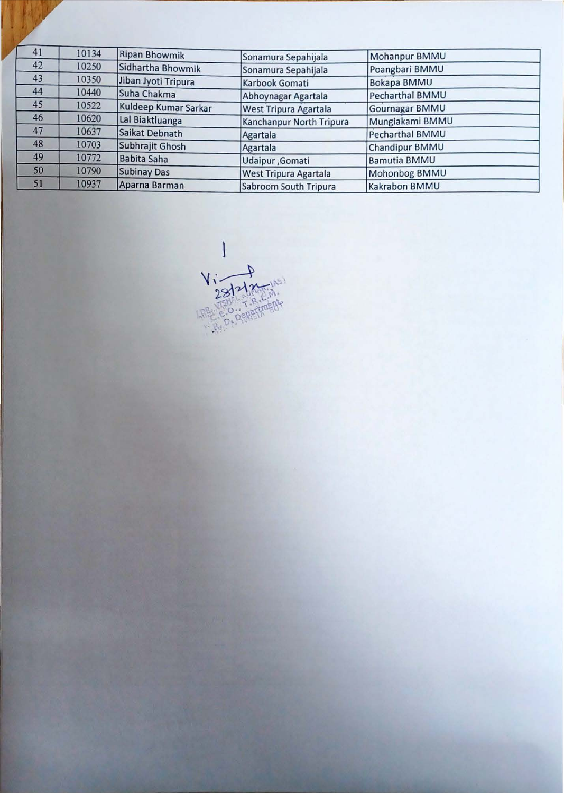| 41 | 10134 | <b>Ripan Bhowmik</b> | Sonamura Sepahijala      | Mohanpur BMMU          |
|----|-------|----------------------|--------------------------|------------------------|
| 42 | 10250 | Sidhartha Bhowmik    | Sonamura Sepahijala      | Poangbari BMMU         |
| 43 | 10350 | Jiban Jyoti Tripura  | Karbook Gomati           | <b>Bokapa BMMU</b>     |
| 44 | 10440 | Suha Chakma          | Abhoynagar Agartala      | Pecharthal BMMU        |
| 45 | 10522 | Kuldeep Kumar Sarkar | West Tripura Agartala    | <b>Gournagar BMMU</b>  |
| 46 | 10620 | Lal Biaktluanga      | Kanchanpur North Tripura | Mungiakami BMMU        |
| 47 | 10637 | Saikat Debnath       | Agartala                 | <b>Pecharthal BMMU</b> |
| 48 | 10703 | Subhrajit Ghosh      | Agartala                 | Chandipur BMMU         |
| 49 | 10772 | <b>Babita Saha</b>   | Udaipur, Gomati          | <b>Bamutia BMMU</b>    |
| 50 | 10790 | <b>Subinay Das</b>   | West Tripura Agartala    | Mohonbog BMMU          |
| 51 | 10937 | Aparna Barman        | Sabroom South Tripura    | Kakrabon BMMU          |

Via Hamps